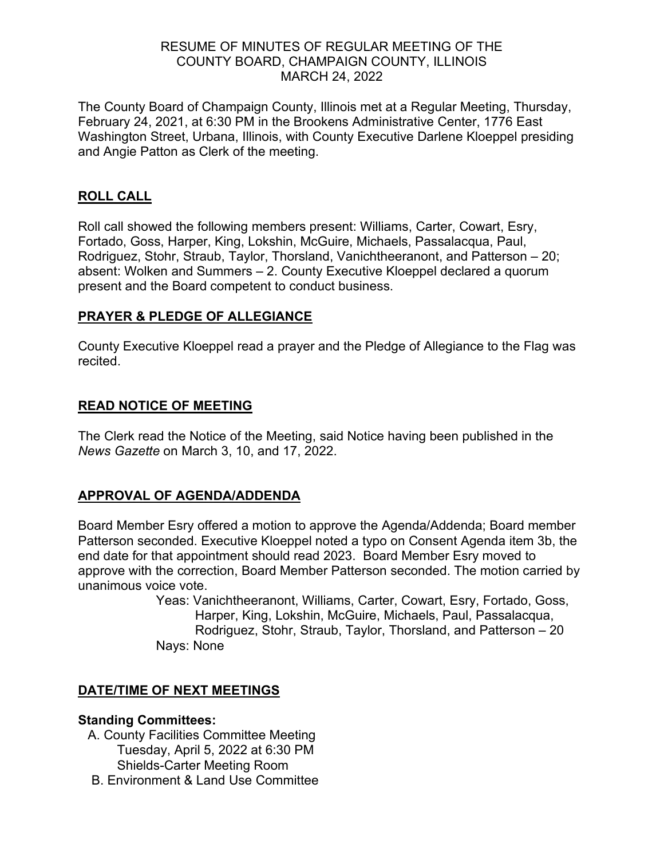#### RESUME OF MINUTES OF REGULAR MEETING OF THE COUNTY BOARD, CHAMPAIGN COUNTY, ILLINOIS MARCH 24, 2022

The County Board of Champaign County, Illinois met at a Regular Meeting, Thursday, February 24, 2021, at 6:30 PM in the Brookens Administrative Center, 1776 East Washington Street, Urbana, Illinois, with County Executive Darlene Kloeppel presiding and Angie Patton as Clerk of the meeting.

### **ROLL CALL**

Roll call showed the following members present: Williams, Carter, Cowart, Esry, Fortado, Goss, Harper, King, Lokshin, McGuire, Michaels, Passalacqua, Paul, Rodriguez, Stohr, Straub, Taylor, Thorsland, Vanichtheeranont, and Patterson – 20; absent: Wolken and Summers – 2. County Executive Kloeppel declared a quorum present and the Board competent to conduct business.

### **PRAYER & PLEDGE OF ALLEGIANCE**

County Executive Kloeppel read a prayer and the Pledge of Allegiance to the Flag was recited.

### **READ NOTICE OF MEETING**

The Clerk read the Notice of the Meeting, said Notice having been published in the *News Gazette* on March 3, 10, and 17, 2022.

# **APPROVAL OF AGENDA/ADDENDA**

Board Member Esry offered a motion to approve the Agenda/Addenda; Board member Patterson seconded. Executive Kloeppel noted a typo on Consent Agenda item 3b, the end date for that appointment should read 2023. Board Member Esry moved to approve with the correction, Board Member Patterson seconded. The motion carried by unanimous voice vote.

> Yeas: Vanichtheeranont, Williams, Carter, Cowart, Esry, Fortado, Goss, Harper, King, Lokshin, McGuire, Michaels, Paul, Passalacqua, Rodriguez, Stohr, Straub, Taylor, Thorsland, and Patterson – 20 Nays: None

# **DATE/TIME OF NEXT MEETINGS**

#### **Standing Committees:**

- A. County Facilities Committee Meeting Tuesday, April 5, 2022 at 6:30 PM Shields-Carter Meeting Room
- B. Environment & Land Use Committee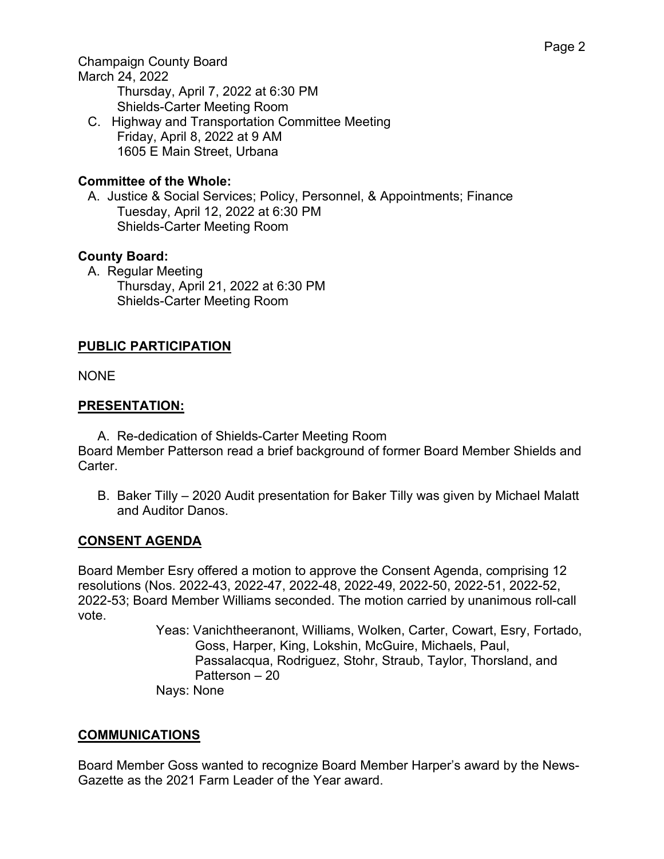Champaign County Board

March 24, 2022 Thursday, April 7, 2022 at 6:30 PM Shields-Carter Meeting Room

C. Highway and Transportation Committee Meeting Friday, April 8, 2022 at 9 AM 1605 E Main Street, Urbana

# **Committee of the Whole:**

A. Justice & Social Services; Policy, Personnel, & Appointments; Finance Tuesday, April 12, 2022 at 6:30 PM Shields-Carter Meeting Room

# **County Board:**

A. Regular Meeting Thursday, April 21, 2022 at 6:30 PM Shields-Carter Meeting Room

# **PUBLIC PARTICIPATION**

NONE

# **PRESENTATION:**

A. Re-dedication of Shields-Carter Meeting Room Board Member Patterson read a brief background of former Board Member Shields and Carter.

B. Baker Tilly – 2020 Audit presentation for Baker Tilly was given by Michael Malatt and Auditor Danos.

# **CONSENT AGENDA**

Board Member Esry offered a motion to approve the Consent Agenda, comprising 12 resolutions (Nos. 2022-43, 2022-47, 2022-48, 2022-49, 2022-50, 2022-51, 2022-52, 2022-53; Board Member Williams seconded. The motion carried by unanimous roll-call vote.

Yeas: Vanichtheeranont, Williams, Wolken, Carter, Cowart, Esry, Fortado, Goss, Harper, King, Lokshin, McGuire, Michaels, Paul, Passalacqua, Rodriguez, Stohr, Straub, Taylor, Thorsland, and Patterson – 20 Nays: None

# **COMMUNICATIONS**

Board Member Goss wanted to recognize Board Member Harper's award by the News-Gazette as the 2021 Farm Leader of the Year award.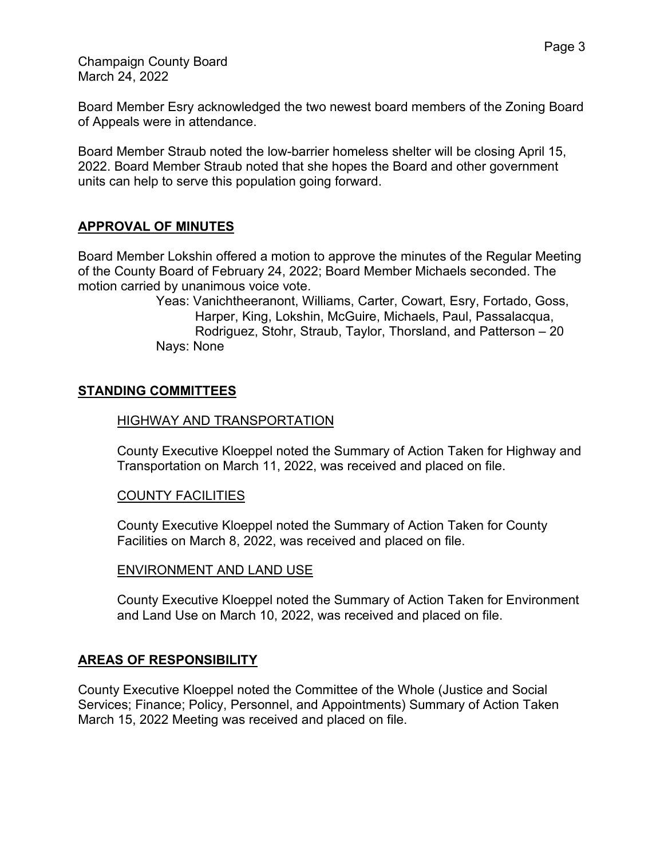Champaign County Board March 24, 2022

Board Member Esry acknowledged the two newest board members of the Zoning Board of Appeals were in attendance.

Board Member Straub noted the low-barrier homeless shelter will be closing April 15, 2022. Board Member Straub noted that she hopes the Board and other government units can help to serve this population going forward.

# **APPROVAL OF MINUTES**

Board Member Lokshin offered a motion to approve the minutes of the Regular Meeting of the County Board of February 24, 2022; Board Member Michaels seconded. The motion carried by unanimous voice vote.

> Yeas: Vanichtheeranont, Williams, Carter, Cowart, Esry, Fortado, Goss, Harper, King, Lokshin, McGuire, Michaels, Paul, Passalacqua, Rodriguez, Stohr, Straub, Taylor, Thorsland, and Patterson – 20 Nays: None

### **STANDING COMMITTEES**

#### HIGHWAY AND TRANSPORTATION

County Executive Kloeppel noted the Summary of Action Taken for Highway and Transportation on March 11, 2022, was received and placed on file.

#### COUNTY FACILITIES

County Executive Kloeppel noted the Summary of Action Taken for County Facilities on March 8, 2022, was received and placed on file.

#### ENVIRONMENT AND LAND USE

County Executive Kloeppel noted the Summary of Action Taken for Environment and Land Use on March 10, 2022, was received and placed on file.

#### **AREAS OF RESPONSIBILITY**

County Executive Kloeppel noted the Committee of the Whole (Justice and Social Services; Finance; Policy, Personnel, and Appointments) Summary of Action Taken March 15, 2022 Meeting was received and placed on file.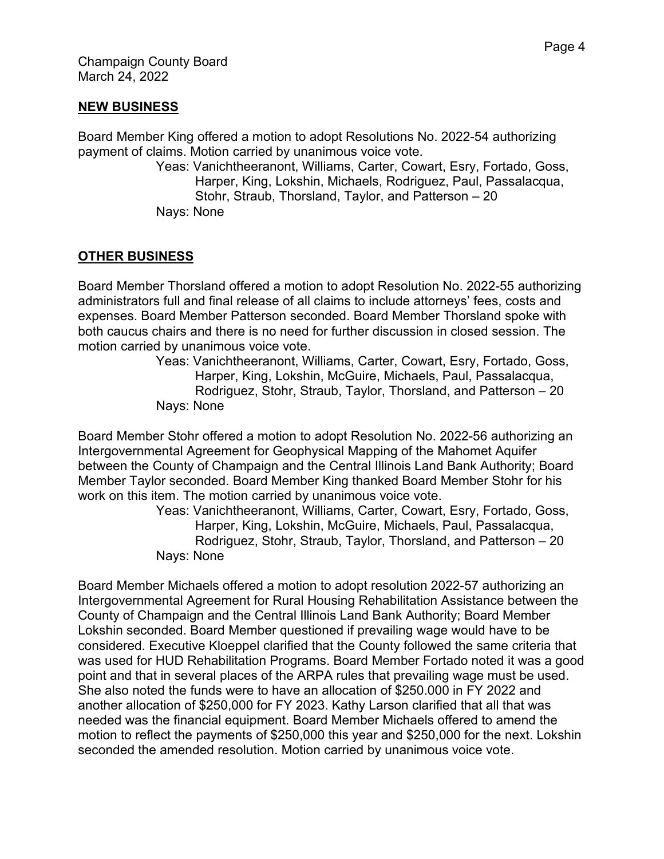### **NEW BUSINESS**

Board Member King offered a motion to adopt Resolutions No. 2022-54 authorizing payment of claims. Motion carried by unanimous voice vote.

Yeas: Vanichtheeranont, Williams, Carter, Cowart, Esry, Fortado, Goss, Harper, King, Lokshin, Michaels, Rodriguez, Paul, Passalacqua, Stohr, Straub, Thorsland, Taylor, and Patterson – 20 Nays: None

# **OTHER BUSINESS**

Board Member Thorsland offered a motion to adopt Resolution No. 2022-55 authorizing administrators full and final release of all claims to include attorneys' fees, costs and expenses. Board Member Patterson seconded. Board Member Thorsland spoke with both caucus chairs and there is no need for further discussion in closed session. The motion carried by unanimous voice vote.

Yeas: Vanichtheeranont, Williams, Carter, Cowart, Esry, Fortado, Goss, Harper, King, Lokshin, McGuire, Michaels, Paul, Passalacqua, Rodriguez, Stohr, Straub, Taylor, Thorsland, and Patterson – 20 Nays: None

Board Member Stohr offered a motion to adopt Resolution No. 2022-56 authorizing an Intergovernmental Agreement for Geophysical Mapping of the Mahomet Aquifer between the County of Champaign and the Central Illinois Land Bank Authority; Board Member Taylor seconded. Board Member King thanked Board Member Stohr for his work on this item. The motion carried by unanimous voice vote.

Yeas: Vanichtheeranont, Williams, Carter, Cowart, Esry, Fortado, Goss, Harper, King, Lokshin, McGuire, Michaels, Paul, Passalacqua, Rodriguez, Stohr, Straub, Taylor, Thorsland, and Patterson – 20 Nays: None

Board Member Michaels offered a motion to adopt resolution 2022-57 authorizing an Intergovernmental Agreement for Rural Housing Rehabilitation Assistance between the County of Champaign and the Central Illinois Land Bank Authority; Board Member Lokshin seconded. Board Member questioned if prevailing wage would have to be considered. Executive Kloeppel clarified that the County followed the same criteria that was used for HUD Rehabilitation Programs. Board Member Fortado noted it was a good point and that in several places of the ARPA rules that prevailing wage must be used. She also noted the funds were to have an allocation of \$250.000 in FY 2022 and another allocation of \$250,000 for FY 2023. Kathy Larson clarified that all that was needed was the financial equipment. Board Member Michaels offered to amend the motion to reflect the payments of \$250,000 this year and \$250,000 for the next. Lokshin seconded the amended resolution. Motion carried by unanimous voice vote.